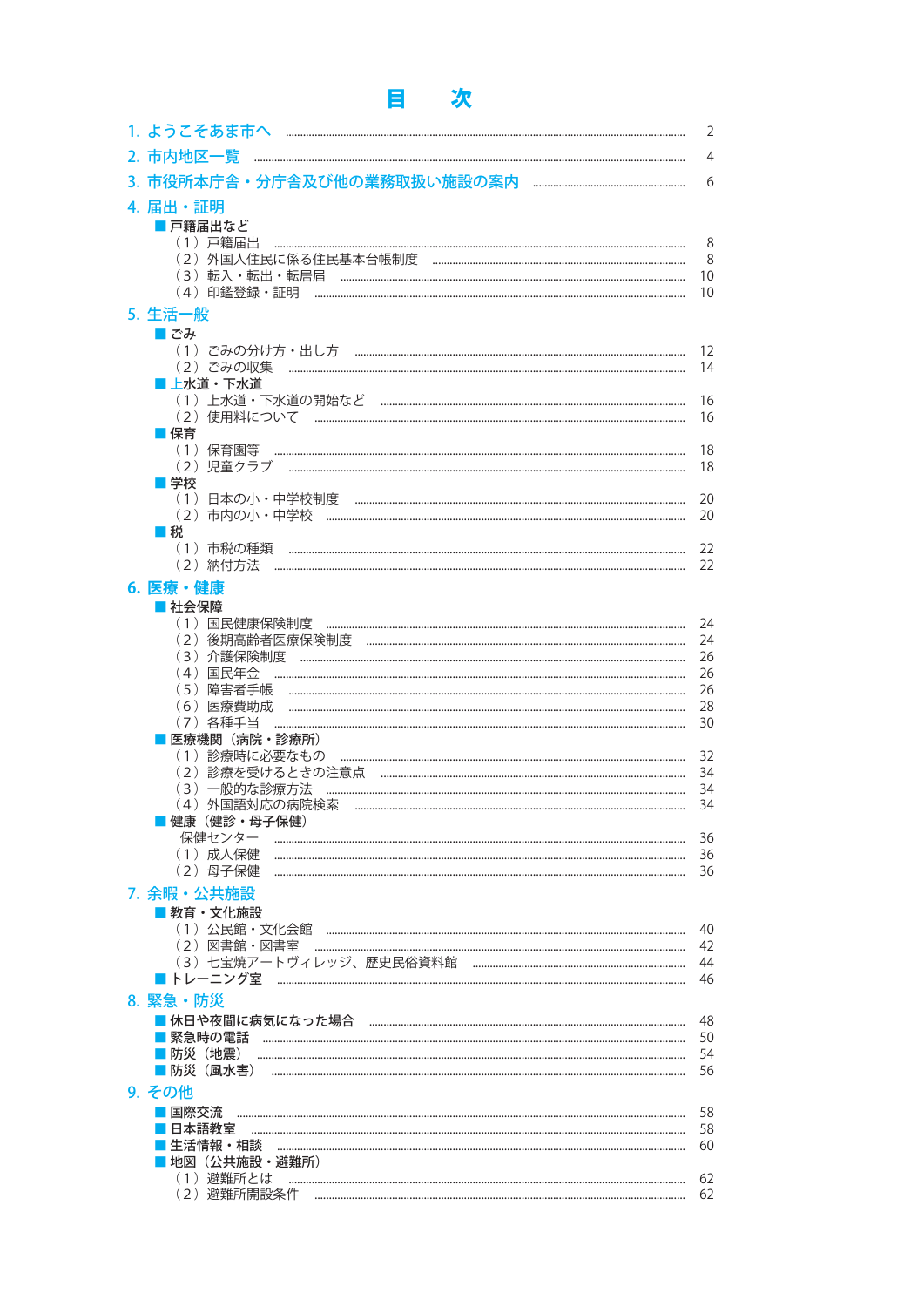## 目 次

|                            | $\overline{2}$ |
|----------------------------|----------------|
| 2. 市内地区一覧                  | 4              |
|                            | 6              |
| 4. 届出・証明                   |                |
| ■ 戸籍届出など                   |                |
| (1)戸籍届出                    | 8<br>8         |
| (3) 転入・転出・転居届              | 10             |
|                            | 10             |
| 5. 生活一般                    |                |
| ■でみ                        |                |
|                            | 12             |
| (2)ごみの収集<br>■ 上水道・下水道      | 14             |
|                            | 16             |
|                            | 16             |
| ■ 保育                       |                |
| (1) 保育園等                   | 18<br>18       |
| ■学校                        |                |
| (1)日本の小・中学校制度              | 20             |
|                            | 20             |
| ■税                         |                |
| (1)市税の種類                   | 22<br>22       |
| 6. 医療・健康                   |                |
| ■社会保障                      |                |
| (1)国民健康保険制度                | 24             |
| (2) 後期高齢者医療保険制度            | 24             |
| (3)介護保険制度                  | 26             |
| (4)国民年金<br>(5)障害者手帳        | 26<br>26       |
| (6)医療費助成                   | 28             |
| (7)各種手当                    | 30             |
| 医療機関 (病院・診療所)              |                |
|                            | 32             |
| (2) 診療を受けるときの注意点           | 34<br>34       |
| (4) 外国語対応の病院検索<br>$\cdots$ | 34             |
| 健康(健診・母子保健)                |                |
|                            | 36             |
| (1) 成人保健<br>(2) 母子保健       | 36<br>36       |
| 7. 余暇・公共施設                 |                |
| ■ 教育·文化施設                  |                |
|                            | 40             |
|                            | 42             |
|                            | 44             |
|                            | 46             |
| 8. 緊急・防災                   |                |
|                            | 48<br>50       |
|                            | 54             |
| ■防災(風水害)                   | 56             |
| 9. その他                     |                |
| 国際交流                       | 58             |
| 日本語教室                      | 58             |
| 生活情報・相談                    | 60             |
| 地図(公共施設・避難所)<br>(1)避難所とは   | 62             |
|                            | 62             |
|                            |                |